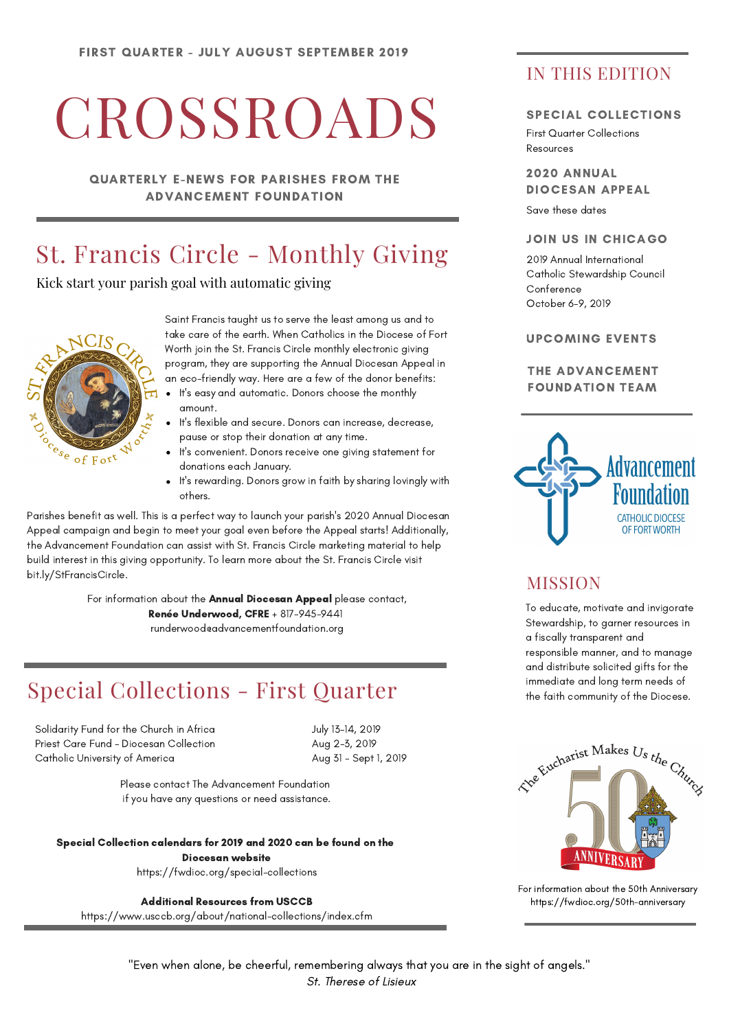# **CROSSROADS**

QUARTERLY E-NEWS FOR PARISHES FROM THE ADVANCEMENT FOUNDATION

### St. Francis Circle - Monthly Giving

Kick start your parish goal with automatic giving



Saint Francis taught us to serve the least among us and to take care of the earth. When Catholics in the Diocese of Fort Worth join the St. Francis Circle monthly electronic giving program, they are supporting the Annual Diocesan Appeal in an eco-friendly way. Here are a few of the donor benefits:

- It's easy and automatic. Donors choose the monthly amount.
- It's flexible and secure. Donors can increase, decrease, pause or stop their donation at any time.
- It's convenient. Donors receive one giving statement for donations each January.
- It's rewarding. Donors grow in faith by sharing lovingly with others.

Parishes benefit as well. This is a perfect way to launch your parish's 2020 Annual Diocesan Appeal campaign and begin to meet your goal even before the Appeal starts! Additionally, the Advancement Foundation can assist with St. Francis Circle marketing material to help build interest in this giving opportunity. To learn more about the St. Francis Circle visit bit.ly/StFrancisCircle.

> For information about the Annual Diocesan Appeal please contact, Renée Underwood, CFRE + 817-945-9441 runderwood@advancementfoundation.org

### Special Collections - First Quarter

Solidarity Fund for the Church in Africa Priest Care Fund - Diocesan Collection Catholic University of America

July 13-14, 2019 Aug 2-3, 2019 Aug 31 - Sept 1, 2019

Please contact The Advancement Foundation if you have any questions or need assistance.

Special Collection calendars for 2019 and 2020 can be found on the

Diocesan website https://fwdioc.org/special-collections

Additional Resources from USCCB

https://www.usccb.org/about/national-collections/index.cfm

### IN THIS EDITION

#### SPECIAL COLLECTIONS

First Quarter Collections Resources

2020 ANNUAL DIOCESAN APPEAL

Save these dates

#### JOIN US IN CHICAGO

2019 Annual International Catholic Stewardship Council **Conference** October 6-9, 2019

#### UPCOMING EVENTS

#### THE ADVANCEMENT FOUNDATION TEAM



### **MISSION**

To educate, motivate and invigorate Stewardship, to garner resources in a fiscally transparent and responsible manner, and to manage and distribute solicited gifts for the immediate and long term needs of the faith community of the Diocese.



For information about the 50th Anniversary https://fwdioc.org/50th-anniversary

"Even when alone, be cheerful, remembering always that you are in the sight of angels." St. Therese of Lisieux